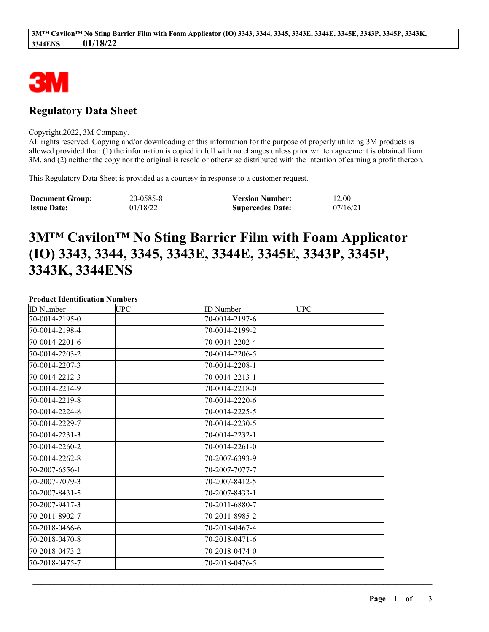

# **Regulatory Data Sheet**

#### Copyright,2022, 3M Company.

All rights reserved. Copying and/or downloading of this information for the purpose of properly utilizing 3M products is allowed provided that: (1) the information is copied in full with no changes unless prior written agreement is obtained from 3M, and (2) neither the copy nor the original is resold or otherwise distributed with the intention of earning a profit thereon.

This Regulatory Data Sheet is provided as a courtesy in response to a customer request.

| <b>Document Group:</b> | 20-0585-8 | <b>Version Number:</b>  | 12.00    |
|------------------------|-----------|-------------------------|----------|
| <b>Issue Date:</b>     | 01/18/22  | <b>Supercedes Date:</b> | 07/16/21 |

# **3M™ Cavilon™ No Sting Barrier Film with Foam Applicator (IO) 3343, 3344, 3345, 3343E, 3344E, 3345E, 3343P, 3345P, 3343K, 3344ENS**

#### **Product Identification Numbers**

| <b>ID</b> Number | <b>UPC</b> | <b>ID</b> Number | <b>UPC</b> |
|------------------|------------|------------------|------------|
| 70-0014-2195-0   |            | 70-0014-2197-6   |            |
| 70-0014-2198-4   |            | 70-0014-2199-2   |            |
| 70-0014-2201-6   |            | 70-0014-2202-4   |            |
| 70-0014-2203-2   |            | 70-0014-2206-5   |            |
| 70-0014-2207-3   |            | 70-0014-2208-1   |            |
| 70-0014-2212-3   |            | 70-0014-2213-1   |            |
| 70-0014-2214-9   |            | 70-0014-2218-0   |            |
| 70-0014-2219-8   |            | 70-0014-2220-6   |            |
| 70-0014-2224-8   |            | 70-0014-2225-5   |            |
| 70-0014-2229-7   |            | 70-0014-2230-5   |            |
| 70-0014-2231-3   |            | 70-0014-2232-1   |            |
| 70-0014-2260-2   |            | 70-0014-2261-0   |            |
| 70-0014-2262-8   |            | 70-2007-6393-9   |            |
| 70-2007-6556-1   |            | 70-2007-7077-7   |            |
| 70-2007-7079-3   |            | 70-2007-8412-5   |            |
| 70-2007-8431-5   |            | 70-2007-8433-1   |            |
| 70-2007-9417-3   |            | 70-2011-6880-7   |            |
| 70-2011-8902-7   |            | 70-2011-8985-2   |            |
| 70-2018-0466-6   |            | 70-2018-0467-4   |            |
| 70-2018-0470-8   |            | 70-2018-0471-6   |            |
| 70-2018-0473-2   |            | 70-2018-0474-0   |            |
| 70-2018-0475-7   |            | 70-2018-0476-5   |            |

\_\_\_\_\_\_\_\_\_\_\_\_\_\_\_\_\_\_\_\_\_\_\_\_\_\_\_\_\_\_\_\_\_\_\_\_\_\_\_\_\_\_\_\_\_\_\_\_\_\_\_\_\_\_\_\_\_\_\_\_\_\_\_\_\_\_\_\_\_\_\_\_\_\_\_\_\_\_\_\_\_\_\_\_\_\_\_\_\_\_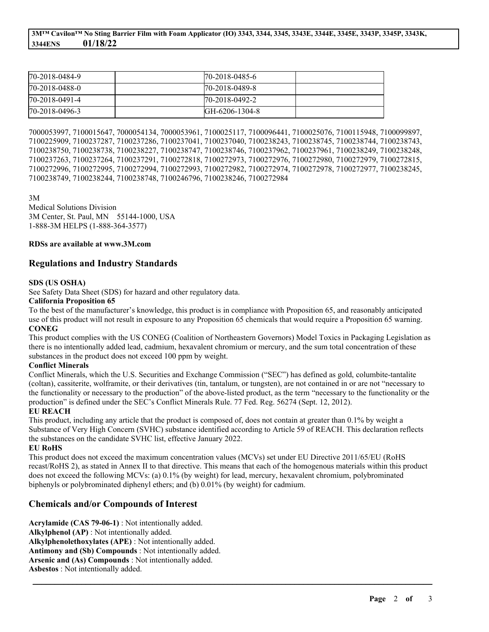| 170-2018-0484-9    | 170-2018-0485-6 |  |
|--------------------|-----------------|--|
| $[70-2018-0488-0]$ | 170-2018-0489-8 |  |
| $[70-2018-0491-4]$ | 170-2018-0492-2 |  |
| $[70-2018-0496-3]$ | IGH-6206-1304-8 |  |

7000053997, 7100015647, 7000054134, 7000053961, 7100025117, 7100096441, 7100025076, 7100115948, 7100099897, 7100225909, 7100237287, 7100237286, 7100237041, 7100237040, 7100238243, 7100238745, 7100238744, 7100238743, 7100238750, 7100238738, 7100238227, 7100238747, 7100238746, 7100237962, 7100237961, 7100238249, 7100238248, 7100237263, 7100237264, 7100237291, 7100272818, 7100272973, 7100272976, 7100272980, 7100272979, 7100272815, 7100272996, 7100272995, 7100272994, 7100272993, 7100272982, 7100272974, 7100272978, 7100272977, 7100238245, 7100238749, 7100238244, 7100238748, 7100246796, 7100238246, 7100272984

3M

Medical Solutions Division 3M Center, St. Paul, MN 55144-1000, USA 1-888-3M HELPS (1-888-364-3577)

#### **RDSs are available at www.3M.com**

## **Regulations and Industry Standards**

#### **SDS (US OSHA)**

See Safety Data Sheet (SDS) for hazard and other regulatory data.

#### **California Proposition 65**

To the best of the manufacturer's knowledge, this product is in compliance with Proposition 65, and reasonably anticipated use of this product will not result in exposure to any Proposition 65 chemicals that would require a Proposition 65 warning. **CONEG**

This product complies with the US CONEG (Coalition of Northeastern Governors) Model Toxics in Packaging Legislation as there is no intentionally added lead, cadmium, hexavalent chromium or mercury, and the sum total concentration of these substances in the product does not exceed 100 ppm by weight.

#### **Conflict Minerals**

Conflict Minerals, which the U.S. Securities and Exchange Commission ("SEC") has defined as gold, columbite-tantalite (coltan), cassiterite, wolframite, or their derivatives (tin, tantalum, or tungsten), are not contained in or are not "necessary to the functionality or necessary to the production" of the above-listed product, as the term "necessary to the functionality or the production" is defined under the SEC's Conflict Minerals Rule. 77 Fed. Reg. 56274 (Sept. 12, 2012).

#### **EU REACH**

This product, including any article that the product is composed of, does not contain at greater than 0.1% by weight a Substance of Very High Concern (SVHC) substance identified according to Article 59 of REACH. This declaration reflects the substances on the candidate SVHC list, effective January 2022.

#### **EU RoHS**

This product does not exceed the maximum concentration values (MCVs) set under EU Directive 2011/65/EU (RoHS recast/RoHS 2), as stated in Annex II to that directive. This means that each of the homogenous materials within this product does not exceed the following MCVs: (a) 0.1% (by weight) for lead, mercury, hexavalent chromium, polybrominated biphenyls or polybrominated diphenyl ethers; and (b) 0.01% (by weight) for cadmium.

\_\_\_\_\_\_\_\_\_\_\_\_\_\_\_\_\_\_\_\_\_\_\_\_\_\_\_\_\_\_\_\_\_\_\_\_\_\_\_\_\_\_\_\_\_\_\_\_\_\_\_\_\_\_\_\_\_\_\_\_\_\_\_\_\_\_\_\_\_\_\_\_\_\_\_\_\_\_\_\_\_\_\_\_\_\_\_\_\_\_

## **Chemicals and/or Compounds of Interest**

**Acrylamide (CAS 79-06-1)** : Not intentionally added. **Alkylphenol (AP)** : Not intentionally added. **Alkylphenolethoxylates (APE)** : Not intentionally added. **Antimony and (Sb) Compounds** : Not intentionally added. **Arsenic and (As) Compounds** : Not intentionally added. **Asbestos** : Not intentionally added.